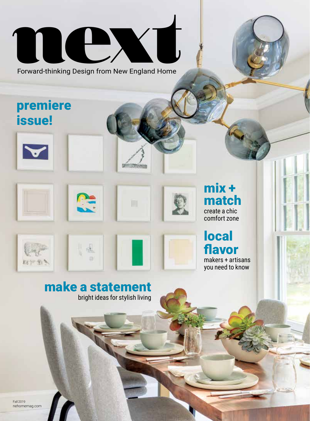# next

Forward-thinking Design from New England Home

### premiere issue!













#### local flavor

makers + artisans you need to know

#### make a statement bright ideas for stylish living

 $\Box$ 

Fall 2019 nehomemag.com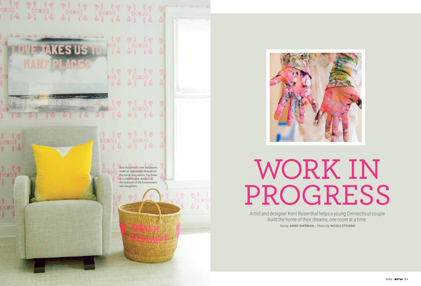2019 | next 95

## WORK IN PROGRESS





Artist and designer Kerri Rosenthal helps a young Connecticut couple build the home of their dreams, one room at a time. *Text by* ANNIE SHERMAN | *Photos by* NICOLE STEVENS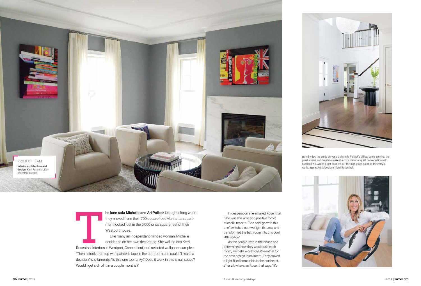he lone sofa Michelle and Ari Pollack brought along when they moved from their 700-square-foot Manhattan apartment looked lost in the 5,000 or so square feet of their Westport house.

Like many an independent-minded woman, Michelle decided to do her own decorating. She walked into Kerri Rosenthal Interiors in Westport, Connecticut, and selected wallpaper samples. "Then I stuck them up with painter's tape in the bathroom and couldn't make a decision," she laments. "Is this one too funky? Does it work in this small space? Would I get sick of it in a couple months?"



**LEFT:** By day, the study serves as Michelle Pollack's office; come evening, the plush chairs and fireplace make it a cozy place for quiet conversation with husband Ari. **ABOVE:** Light bounces off the high-gloss paint on the entry's walls. **BELOW:** Artist/designer Kerri Rosenthal.



In desperation she emailed Rosenthal. "She was this amazing positive force," Michelle reports. "She said 'go with this one,' switched out two light fixtures, and transformed the bathroom into this cool little space."

As the couple lived in the house and determined how they would use each room, Michelle would call Rosenthal for the next design installment. They craved a light-filled home (this is the northeast, after all, where, as Rosenthal says, "It's



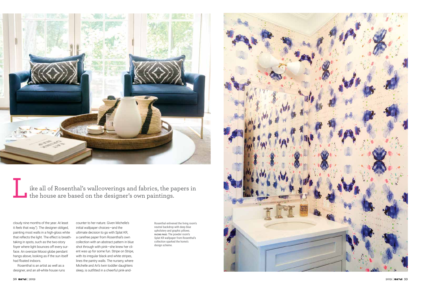Rosenthal enlivened the living room's neutral backdrop with deep blue upholstery and graphic pillows. **FACING PAGE:** The powder room's Splat KR wallpaper from Rosenthal's collection sparked the home's design scheme.



cloudy nine months of the year. At least it *feels* that way."). The designer obliged, painting most walls in a high-gloss white that reflects the light. The effect is breath taking in spots, such as the two-story foyer where light bounces off every sur face. An oversize Moooi globe pendant hangs above, looking as if the sun itself had floated indoors.



ike all of Rosenthal's wallcoverings and fabrics, the papers in the house are based on the designer's own paintings. L

Rosenthal is an artist as well as a designer, and an all-white house runs

counter to her nature. Given Michelle's initial wallpaper choices—and the ultimate decision to go with Splat KR, a carefree paper from Rosenthal's own collection with an abstract pattern in blue shot through with pink-she knew her client was up for some fun. Stripe on Stripe, with its irregular black and white stripes, lines the pantry walls. The nursery, where Michelle and Ari's twin toddler daughters sleep, is outfitted in a cheerful pink-and-